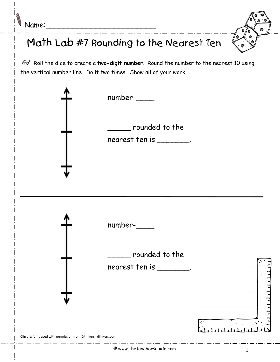$\sqrt[q]{Name:}\$ 



## Math Lab #7 Rounding to the Nearest Ten

Go<sup>t</sup> Roll the dice to create a two-digit number. Round the number to the nearest 10 using the vertical number line. Do it two times. Show all of your work

|                                                                 | $number-$<br>rounded to the<br>nearest ten is ________. |  |
|-----------------------------------------------------------------|---------------------------------------------------------|--|
| Clip art/fonts used with permission from DJ Inkers djinkers.com | number-<br>rounded to the<br>nearest ten is ________.   |  |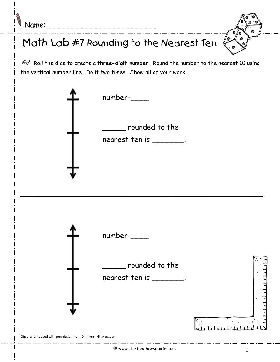| Mame: |
|-------|
|-------|

## Math Lab #7 Rounding to the Nearest Ten

Go<sup>t</sup> Roll the dice to create a three-digit number. Round the number to the nearest 10 using the vertical number line. Do it two times. Show all of your work

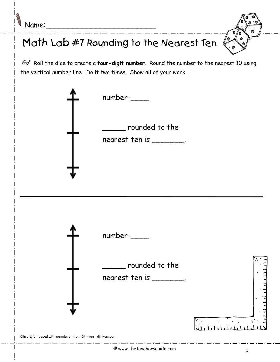| Mame: |  |
|-------|--|
|-------|--|

## Math Lab #7 Rounding to the Nearest Ten

 $\mathcal{A}$  Roll the dice to create a four-digit number. Round the number to the nearest 10 using the vertical number line. Do it two times. Show all of your work

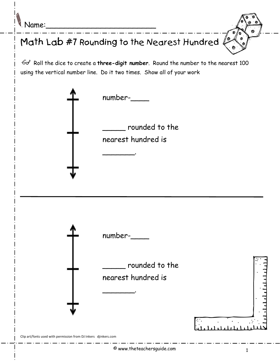$\ell$  Name:



 $\mathcal{A}$  Roll the dice to create a three-digit number. Round the number to the nearest 100 using the vertical number line. Do it two times. Show all of your work

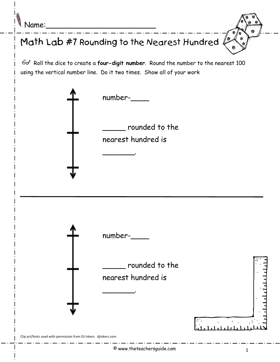